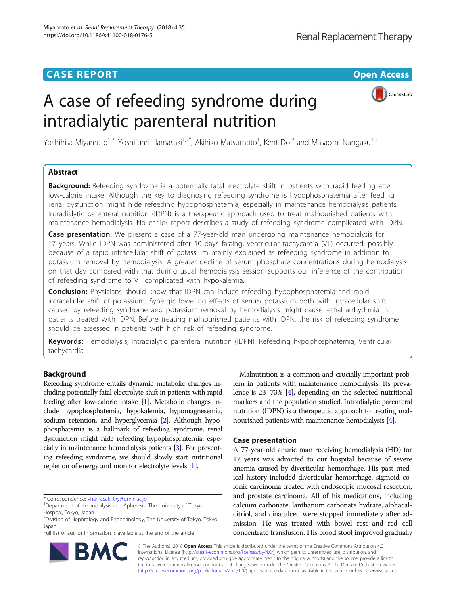# A case of refeeding syndrome during intradialytic parenteral nutrition



Yoshihisa Miyamoto<sup>1,2</sup>, Yoshifumi Hamasaki<sup>1,2\*</sup>, Akihiko Matsumoto<sup>1</sup>, Kent Doi<sup>3</sup> and Masaomi Nangaku<sup>1,2</sup>

# Abstract

**Background:** Refeeding syndrome is a potentially fatal electrolyte shift in patients with rapid feeding after low-calorie intake. Although the key to diagnosing refeeding syndrome is hypophosphatemia after feeding, renal dysfunction might hide refeeding hypophosphatemia, especially in maintenance hemodialysis patients. Intradialytic parenteral nutrition (IDPN) is a therapeutic approach used to treat malnourished patients with maintenance hemodialysis. No earlier report describes a study of refeeding syndrome complicated with IDPN.

Case presentation: We present a case of a 77-year-old man undergoing maintenance hemodialysis for 17 years. While IDPN was administered after 10 days fasting, ventricular tachycardia (VT) occurred, possibly because of a rapid intracellular shift of potassium mainly explained as refeeding syndrome in addition to potassium removal by hemodialysis. A greater decline of serum phosphate concentrations during hemodialysis on that day compared with that during usual hemodialysis session supports our inference of the contribution of refeeding syndrome to VT complicated with hypokalemia.

**Conclusion:** Physicians should know that IDPN can induce refeeding hypophosphatemia and rapid intracellular shift of potassium. Synergic lowering effects of serum potassium both with intracellular shift caused by refeeding syndrome and potassium removal by hemodialysis might cause lethal arrhythmia in patients treated with IDPN. Before treating malnourished patients with IDPN, the risk of refeeding syndrome should be assessed in patients with high risk of refeeding syndrome.

Keywords: Hemodialysis, Intradialytic parenteral nutrition (IDPN), Refeeding hypophosphatemia, Ventricular tachycardia

# Background

Refeeding syndrome entails dynamic metabolic changes including potentially fatal electrolyte shift in patients with rapid feeding after low-calorie intake [[1](#page-5-0)]. Metabolic changes include hypophosphatemia, hypokalemia, hypomagnesemia, sodium retention, and hyperglycemia [\[2\]](#page-5-0). Although hypophosphatemia is a hallmark of refeeding syndrome, renal dysfunction might hide refeeding hypophosphatemia, especially in maintenance hemodialysis patients [[3](#page-5-0)]. For preventing refeeding syndrome, we should slowly start nutritional repletion of energy and monitor electrolyte levels [[1](#page-5-0)].

\* Correspondence: [yhamasaki-tky@umin.ac.jp](mailto:yhamasaki-tky@umin.ac.jp) <sup>1</sup>

Full list of author information is available at the end of the article

Malnutrition is a common and crucially important problem in patients with maintenance hemodialysis. Its prevalence is 23–73% [[4](#page-5-0)], depending on the selected nutritional markers and the population studied. Intradialytic parenteral nutrition (IDPN) is a therapeutic approach to treating malnourished patients with maintenance hemodialysis [\[4\]](#page-5-0).

# Case presentation

A 77-year-old anuric man receiving hemodialysis (HD) for 17 years was admitted to our hospital because of severe anemia caused by diverticular hemorrhage. His past medical history included diverticular hemorrhage, sigmoid colonic carcinoma treated with endoscopic mucosal resection, and prostate carcinoma. All of his medications, including calcium carbonate, lanthanum carbonate hydrate, alphacalcitriol, and cinacalcet, were stopped immediately after admission. He was treated with bowel rest and red cell concentrate transfusion. His blood stool improved gradually



© The Author(s). 2018 Open Access This article is distributed under the terms of the Creative Commons Attribution 4.0 International License [\(http://creativecommons.org/licenses/by/4.0/](http://creativecommons.org/licenses/by/4.0/)), which permits unrestricted use, distribution, and reproduction in any medium, provided you give appropriate credit to the original author(s) and the source, provide a link to the Creative Commons license, and indicate if changes were made. The Creative Commons Public Domain Dedication waiver [\(http://creativecommons.org/publicdomain/zero/1.0/](http://creativecommons.org/publicdomain/zero/1.0/)) applies to the data made available in this article, unless otherwise stated.

Department of Hemodialysis and Apheresis, The University of Tokyo Hospital, Tokyo, Japan

<sup>&</sup>lt;sup>2</sup> Division of Nephrology and Endocrinology, The University of Tokyo, Tokyo, Japan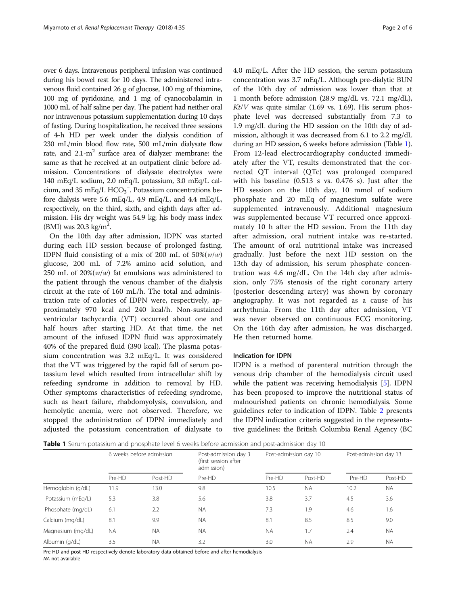over 6 days. Intravenous peripheral infusion was continued during his bowel rest for 10 days. The administered intravenous fluid contained 26 g of glucose, 100 mg of thiamine, 100 mg of pyridoxine, and 1 mg of cyanocobalamin in 1000 mL of half saline per day. The patient had neither oral nor intravenous potassium supplementation during 10 days of fasting. During hospitalization, he received three sessions of 4-h HD per week under the dialysis condition of 230 mL/min blood flow rate, 500 mL/min dialysate flow rate, and  $2.1 \text{--} m^2$  surface area of dialyzer membrane: the same as that he received at an outpatient clinic before admission. Concentrations of dialysate electrolytes were 140 mEq/L sodium, 2.0 mEq/L potassium, 3.0 mEq/L calcium, and 35 mEq/L  $HCO_3^-$ . Potassium concentrations before dialysis were 5.6 mEq/L, 4.9 mEq/L, and 4.4 mEq/L, respectively, on the third, sixth, and eighth days after admission. His dry weight was 54.9 kg; his body mass index (BMI) was 20.3 kg/ $m^2$ .

On the 10th day after admission, IDPN was started during each HD session because of prolonged fasting. IDPN fluid consisting of a mix of 200 mL of  $50\%(w/w)$ glucose, 200 mL of 7.2% amino acid solution, and 250 mL of  $20\%$ ( $w/w$ ) fat emulsions was administered to the patient through the venous chamber of the dialysis circuit at the rate of 160 mL/h. The total and administration rate of calories of IDPN were, respectively, approximately 970 kcal and 240 kcal/h. Non-sustained ventricular tachycardia (VT) occurred about one and half hours after starting HD. At that time, the net amount of the infused IDPN fluid was approximately 40% of the prepared fluid (390 kcal). The plasma potassium concentration was 3.2 mEq/L. It was considered that the VT was triggered by the rapid fall of serum potassium level which resulted from intracellular shift by refeeding syndrome in addition to removal by HD. Other symptoms characteristics of refeeding syndrome, such as heart failure, rhabdomyolysis, convulsion, and hemolytic anemia, were not observed. Therefore, we stopped the administration of IDPN immediately and adjusted the potassium concentration of dialysate to 4.0 mEq/L. After the HD session, the serum potassium concentration was 3.7 mEq/L. Although pre-dialytic BUN of the 10th day of admission was lower than that at 1 month before admission (28.9 mg/dL vs. 72.1 mg/dL),  $Kt/V$  was quite similar (1.69 vs. 1.69). His serum phosphate level was decreased substantially from 7.3 to 1.9 mg/dL during the HD session on the 10th day of admission, although it was decreased from 6.1 to 2.2 mg/dL during an HD session, 6 weeks before admission (Table 1). From 12-lead electrocardiography conducted immediately after the VT, results demonstrated that the corrected QT interval (QTc) was prolonged compared with his baseline (0.513 s vs. 0.476 s). Just after the HD session on the 10th day, 10 mmol of sodium phosphate and 20 mEq of magnesium sulfate were supplemented intravenously. Additional magnesium was supplemented because VT recurred once approximately 10 h after the HD session. From the 11th day after admission, oral nutrient intake was re-started. The amount of oral nutritional intake was increased gradually. Just before the next HD session on the 13th day of admission, his serum phosphate concentration was 4.6 mg/dL. On the 14th day after admission, only 75% stenosis of the right coronary artery (posterior descending artery) was shown by coronary angiography. It was not regarded as a cause of his arrhythmia. From the 11th day after admission, VT was never observed on continuous ECG monitoring. On the 16th day after admission, he was discharged. He then returned home.

# Indication for IDPN

IDPN is a method of parenteral nutrition through the venous drip chamber of the hemodialysis circuit used while the patient was receiving hemodialysis [[5\]](#page-5-0). IDPN has been proposed to improve the nutritional status of malnourished patients on chronic hemodialysis. Some guidelines refer to indication of IDPN. Table [2](#page-2-0) presents the IDPN indication criteria suggested in the representative guidelines: the British Columbia Renal Agency (BC

**Table 1** Serum potassium and phosphate level 6 weeks before admission and post-admission day 10

|                   | 6 weeks before admission |           | Post-admission day 3<br>(first session after<br>admission) | Post-admission day 10 |           | Post-admission day 13 |           |
|-------------------|--------------------------|-----------|------------------------------------------------------------|-----------------------|-----------|-----------------------|-----------|
|                   | Pre-HD                   | Post-HD   | Pre-HD                                                     | Pre-HD                | Post-HD   | Pre-HD                | Post-HD   |
| Hemoglobin (g/dL) | 11.9                     | 13.0      | 9.8                                                        | 10.5                  | <b>NA</b> | 10.2                  | <b>NA</b> |
| Potassium (mEg/L) | 5.3                      | 3.8       | 5.6                                                        | 3.8                   | 3.7       | 4.5                   | 3.6       |
| Phosphate (mg/dL) | 6.1                      | 2.2       | <b>NA</b>                                                  | 7.3                   | 1.9       | 4.6                   | 1.6       |
| Calcium (mg/dL)   | 8.1                      | 9.9       | <b>NA</b>                                                  | 8.1                   | 8.5       | 8.5                   | 9.0       |
| Magnesium (mg/dL) | <b>NA</b>                | <b>NA</b> | <b>NA</b>                                                  | <b>NA</b>             | 1.7       | 2.4                   | <b>NA</b> |
| Albumin (g/dL)    | 3.5                      | <b>NA</b> | 3.2                                                        | 3.0                   | <b>NA</b> | 2.9                   | <b>NA</b> |

Pre-HD and post-HD respectively denote laboratory data obtained before and after hemodialysis NA not available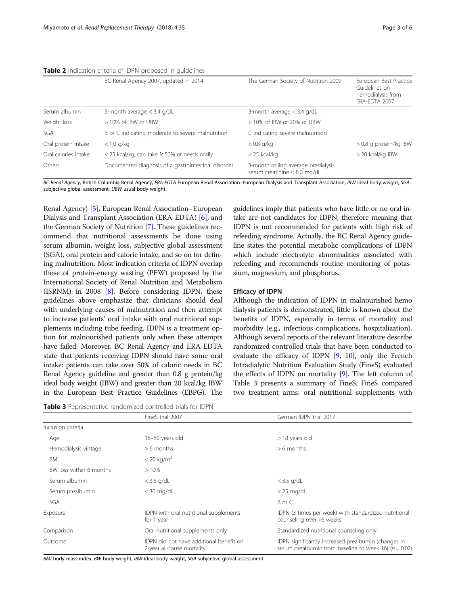<span id="page-2-0"></span>

| Table 2 Indication criteria of IDPN proposed in guidelines |  |  |  |
|------------------------------------------------------------|--|--|--|
|------------------------------------------------------------|--|--|--|

|                      | BC Renal Agency 2007, updated in 2014               | The German Society of Nutrition 2009                                  | European Best Practice<br>Guidelines on<br>hemodialysis from<br>ERA-EDTA 2007 |
|----------------------|-----------------------------------------------------|-----------------------------------------------------------------------|-------------------------------------------------------------------------------|
| Serum albumin        | 3-month average $<$ 3.4 g/dL                        | 3-month average $<$ 3.4 g/dL                                          |                                                                               |
| Weight loss          | > 10% of IBW or UBW                                 | > 10% of IBW or 20% of UBW                                            |                                                                               |
| SGA                  | B or C indicating moderate to severe malnutrition   | C indicating severe malnutrition                                      |                                                                               |
| Oral protein intake  | $< 1.0$ g/kg                                        | $< 0.8$ g/kg                                                          | > 0.8 g protein/kg IBW                                                        |
| Oral calories intake | $<$ 25 kcal/kg, can take $\geq$ 50% of needs orally | $<$ 25 kcal/kg                                                        | > 20 kcal/kg IBW                                                              |
| Others               | Documented diagnosis of a gastrointestinal disorder | 3-month rolling average predialysis<br>serum creatinine $< 8.0$ mg/dL |                                                                               |

BC Renal Agency, British Columbia Renal Agency, ERA-EDTA European Renal Association–European Dialysis and Transplant Association, IBW ideal body weight, SGA subjective global assessment, UBW usual body weight

Renal Agency) [[5](#page-5-0)], European Renal Association–European Dialysis and Transplant Association (ERA-EDTA) [[6\]](#page-5-0), and the German Society of Nutrition [[7\]](#page-5-0). These guidelines recommend that nutritional assessments be done using serum albumin, weight loss, subjective global assessment (SGA), oral protein and calorie intake, and so on for defining malnutrition. Most indication criteria of IDPN overlap those of protein-energy wasting (PEW) proposed by the International Society of Renal Nutrition and Metabolism (ISRNM) in 2008 [\[8](#page-5-0)]. Before considering IDPN, these guidelines above emphasize that clinicians should deal with underlying causes of malnutrition and then attempt to increase patients' oral intake with oral nutritional supplements including tube feeding. IDPN is a treatment option for malnourished patients only when these attempts have failed. Moreover, BC Renal Agency and ERA-EDTA state that patients receiving IDPN should have some oral intake: patients can take over 50% of caloric needs in BC Renal Agency guideline and greater than 0.8 g protein/kg ideal body weight (IBW) and greater than 20 kcal/kg IBW in the European Best Practice Guidelines (EBPG). The

Table 3 Representative randomized controlled trials for IDPN

guidelines imply that patients who have little or no oral intake are not candidates for IDPN, therefore meaning that IDPN is not recommended for patients with high risk of refeeding syndrome. Actually, the BC Renal Agency guideline states the potential metabolic complications of IDPN which include electrolyte abnormalities associated with refeeding and recommends routine monitoring of potassium, magnesium, and phosphorus.

# Efficacy of IDPN

Although the indication of IDPN in malnourished hemo dialysis patients is demonstrated, little is known about the benefits of IDPN, especially in terms of mortality and morbidity (e.g., infectious complications, hospitalization). Although several reports of the relevant literature describe randomized controlled trials that have been conducted to evaluate the efficacy of IDPN [[9,](#page-5-0) [10\]](#page-5-0), only the French Intradialytic Nutrition Evaluation Study (FineS) evaluated the effects of IDPN on mortality [\[9](#page-5-0)]. The left column of Table 3 presents a summary of FineS. FineS compared two treatment arms: oral nutritional supplements with

|                         | FineS trial 2007                                                      | German IDPN trial 2017                                                                                           |  |  |
|-------------------------|-----------------------------------------------------------------------|------------------------------------------------------------------------------------------------------------------|--|--|
| Inclusion criteria      |                                                                       |                                                                                                                  |  |  |
| Age                     | 18-80 years old                                                       | > 18 years old                                                                                                   |  |  |
| Hemodialysis vintage    | $> 6$ months                                                          | $>6$ months                                                                                                      |  |  |
| BMI                     | $< 20 \text{ kg/m}^2$                                                 |                                                                                                                  |  |  |
| BW loss within 6 months | >10%                                                                  |                                                                                                                  |  |  |
| Serum albumin           | $<$ 3.5 g/dL                                                          | $<$ 3.5 g/dL                                                                                                     |  |  |
| Serum prealbumin        | $<$ 30 mg/dL                                                          | $<$ 25 mg/dL                                                                                                     |  |  |
| SGA                     |                                                                       | B or C                                                                                                           |  |  |
| Exposure                | IDPN with oral nutritional supplements<br>for 1 year                  | IDPN (3 times per week) with standardized nutritional<br>counseling over 16 weeks                                |  |  |
| Comparison              | Oral nutritional supplements only                                     | Standardized nutritional counseling only                                                                         |  |  |
| Outcome                 | IDPN did not have additional benefit on<br>2-year all-cause mortality | IDPN significantly increased prealbumin (changes in<br>serum prealbumin from baseline to week 16) ( $p = 0.02$ ) |  |  |

BMI body mass index, BW body weight, IBW ideal body weight, SGA subjective global assessment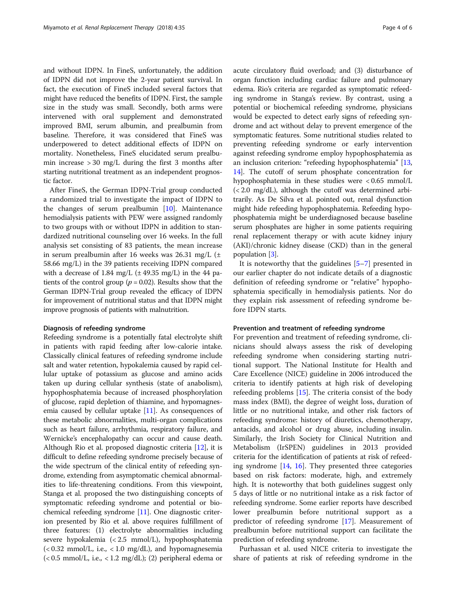and without IDPN. In FineS, unfortunately, the addition of IDPN did not improve the 2-year patient survival. In fact, the execution of FineS included several factors that might have reduced the benefits of IDPN. First, the sample size in the study was small. Secondly, both arms were intervened with oral supplement and demonstrated improved BMI, serum albumin, and prealbumin from baseline. Therefore, it was considered that FineS was underpowered to detect additional effects of IDPN on mortality. Nonetheless, FineS elucidated serum prealbumin increase  $> 30$  mg/L during the first 3 months after starting nutritional treatment as an independent prognostic factor.

After FineS, the German IDPN-Trial group conducted a randomized trial to investigate the impact of IDPN to the changes of serum prealbumin [\[10](#page-5-0)]. Maintenance hemodialysis patients with PEW were assigned randomly to two groups with or without IDPN in addition to standardized nutritional counseling over 16 weeks. In the full analysis set consisting of 83 patients, the mean increase in serum prealbumin after 16 weeks was  $26.31 \text{ mg/L}$  ( $\pm$ 58.66 mg/L) in the 39 patients receiving IDPN compared with a decrease of 1.84 mg/L  $(\pm 49.35 \text{ mg/L})$  in the 44 patients of the control group ( $p = 0.02$ ). Results show that the German IDPN-Trial group revealed the efficacy of IDPN for improvement of nutritional status and that IDPN might improve prognosis of patients with malnutrition.

## Diagnosis of refeeding syndrome

Refeeding syndrome is a potentially fatal electrolyte shift in patients with rapid feeding after low-calorie intake. Classically clinical features of refeeding syndrome include salt and water retention, hypokalemia caused by rapid cellular uptake of potassium as glucose and amino acids taken up during cellular synthesis (state of anabolism), hypophosphatemia because of increased phosphorylation of glucose, rapid depletion of thiamine, and hypomagnesemia caused by cellular uptake [[11](#page-5-0)]. As consequences of these metabolic abnormalities, multi-organ complications such as heart failure, arrhythmia, respiratory failure, and Wernicke's encephalopathy can occur and cause death. Although Rio et al. proposed diagnostic criteria [\[12\]](#page-5-0), it is difficult to define refeeding syndrome precisely because of the wide spectrum of the clinical entity of refeeding syndrome, extending from asymptomatic chemical abnormalities to life-threatening conditions. From this viewpoint, Stanga et al. proposed the two distinguishing concepts of symptomatic refeeding syndrome and potential or biochemical refeeding syndrome [\[11](#page-5-0)]. One diagnostic criterion presented by Rio et al. above requires fulfillment of three features: (1) electrolyte abnormalities including severe hypokalemia (< 2.5 mmol/L), hypophosphatemia  $\langle$  < 0.32 mmol/L, i.e., < 1.0 mg/dL), and hypomagnesemia  $\langle$  < 0.5 mmol/L, i.e., < 1.2 mg/dL); (2) peripheral edema or acute circulatory fluid overload; and (3) disturbance of organ function including cardiac failure and pulmonary edema. Rio's criteria are regarded as symptomatic refeeding syndrome in Stanga's review. By contrast, using a potential or biochemical refeeding syndrome, physicians would be expected to detect early signs of refeeding syndrome and act without delay to prevent emergence of the symptomatic features. Some nutritional studies related to preventing refeeding syndrome or early intervention against refeeding syndrome employ hypophosphatemia as an inclusion criterion: "refeeding hypophosphatemia" [[13](#page-5-0), [14](#page-5-0)]. The cutoff of serum phosphate concentration for hypophosphatemia in these studies were < 0.65 mmol/L (< 2.0 mg/dL), although the cutoff was determined arbitrarily. As De Silva et al. pointed out, renal dysfunction might hide refeeding hypophosphatemia. Refeeding hypophosphatemia might be underdiagnosed because baseline serum phosphates are higher in some patients requiring renal replacement therapy or with acute kidney injury (AKI)/chronic kidney disease (CKD) than in the general population [[3](#page-5-0)].

It is noteworthy that the guidelines [\[5](#page-5-0)–[7](#page-5-0)] presented in our earlier chapter do not indicate details of a diagnostic definition of refeeding syndrome or "relative" hypophosphatemia specifically in hemodialysis patients. Nor do they explain risk assessment of refeeding syndrome before IDPN starts.

## Prevention and treatment of refeeding syndrome

For prevention and treatment of refeeding syndrome, clinicians should always assess the risk of developing refeeding syndrome when considering starting nutritional support. The National Institute for Health and Care Excellence (NICE) guideline in 2006 introduced the criteria to identify patients at high risk of developing refeeding problems [\[15\]](#page-5-0). The criteria consist of the body mass index (BMI), the degree of weight loss, duration of little or no nutritional intake, and other risk factors of refeeding syndrome: history of diuretics, chemotherapy, antacids, and alcohol or drug abuse, including insulin. Similarly, the Irish Society for Clinical Nutrition and Metabolism (IrSPEN) guidelines in 2013 provided criteria for the identification of patients at risk of refeeding syndrome  $[14, 16]$  $[14, 16]$  $[14, 16]$  $[14, 16]$ . They presented three categories based on risk factors: moderate, high, and extremely high. It is noteworthy that both guidelines suggest only 5 days of little or no nutritional intake as a risk factor of refeeding syndrome. Some earlier reports have described lower prealbumin before nutritional support as a predictor of refeeding syndrome [[17\]](#page-5-0). Measurement of prealbumin before nutritional support can facilitate the prediction of refeeding syndrome.

Purhassan et al. used NICE criteria to investigate the share of patients at risk of refeeding syndrome in the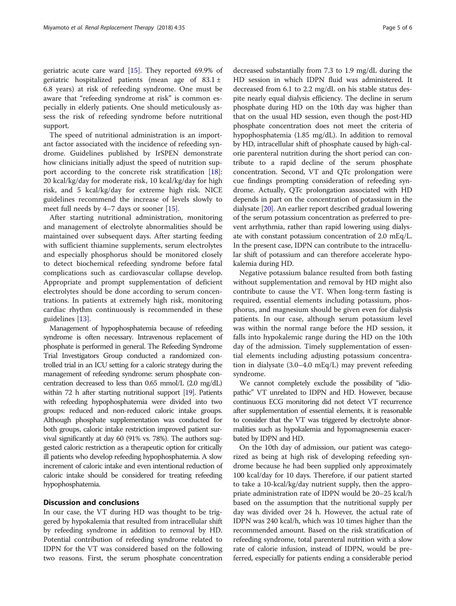geriatric acute care ward [\[15](#page-5-0)]. They reported 69.9% of geriatric hospitalized patients (mean age of  $83.1 \pm$ 6.8 years) at risk of refeeding syndrome. One must be aware that "refeeding syndrome at risk" is common especially in elderly patients. One should meticulously assess the risk of refeeding syndrome before nutritional support.

The speed of nutritional administration is an important factor associated with the incidence of refeeding syndrome. Guidelines published by IrSPEN demonstrate how clinicians initially adjust the speed of nutrition support according to the concrete risk stratification [\[18](#page-5-0)]: 20 kcal/kg/day for moderate risk, 10 kcal/kg/day for high risk, and 5 kcal/kg/day for extreme high risk. NICE guidelines recommend the increase of levels slowly to meet full needs by 4–7 days or sooner [\[15](#page-5-0)].

After starting nutritional administration, monitoring and management of electrolyte abnormalities should be maintained over subsequent days. After starting feeding with sufficient thiamine supplements, serum electrolytes and especially phosphorus should be monitored closely to detect biochemical refeeding syndrome before fatal complications such as cardiovascular collapse develop. Appropriate and prompt supplementation of deficient electrolytes should be done according to serum concentrations. In patients at extremely high risk, monitoring cardiac rhythm continuously is recommended in these guidelines [[13](#page-5-0)].

Management of hypophosphatemia because of refeeding syndrome is often necessary. Intravenous replacement of phosphate is performed in general. The Refeeding Syndrome Trial Investigators Group conducted a randomized controlled trial in an ICU setting for a caloric strategy during the management of refeeding syndrome: serum phosphate concentration decreased to less than 0.65 mmol/L (2.0 mg/dL) within 72 h after starting nutritional support [\[19](#page-5-0)]. Patients with refeeding hypophosphatemia were divided into two groups: reduced and non-reduced caloric intake groups. Although phosphate supplementation was conducted for both groups, caloric intake restriction improved patient survival significantly at day 60 (91% vs. 78%). The authors suggested caloric restriction as a therapeutic option for critically ill patients who develop refeeding hypophosphatemia. A slow increment of caloric intake and even intentional reduction of caloric intake should be considered for treating refeeding hypophosphatemia.

# Discussion and conclusions

In our case, the VT during HD was thought to be triggered by hypokalemia that resulted from intracellular shift by refeeding syndrome in addition to removal by HD. Potential contribution of refeeding syndrome related to IDPN for the VT was considered based on the following two reasons. First, the serum phosphate concentration

decreased substantially from 7.3 to 1.9 mg/dL during the HD session in which IDPN fluid was administered. It decreased from 6.1 to 2.2 mg/dL on his stable status despite nearly equal dialysis efficiency. The decline in serum phosphate during HD on the 10th day was higher than that on the usual HD session, even though the post-HD phosphate concentration does not meet the criteria of hypophosphatemia (1.85 mg/dL). In addition to removal by HD, intracellular shift of phosphate caused by high-calorie parenteral nutrition during the short period can contribute to a rapid decline of the serum phosphate concentration. Second, VT and QTc prolongation were cue findings prompting consideration of refeeding syndrome. Actually, QTc prolongation associated with HD depends in part on the concentration of potassium in the dialysate [\[20](#page-5-0)]. An earlier report described gradual lowering of the serum potassium concentration as preferred to prevent arrhythmia, rather than rapid lowering using dialysate with constant potassium concentration of 2.0 mEq/L. In the present case, IDPN can contribute to the intracellular shift of potassium and can therefore accelerate hypokalemia during HD.

Negative potassium balance resulted from both fasting without supplementation and removal by HD might also contribute to cause the VT. When long-term fasting is required, essential elements including potassium, phosphorus, and magnesium should be given even for dialysis patients. In our case, although serum potassium level was within the normal range before the HD session, it falls into hypokalemic range during the HD on the 10th day of the admission. Timely supplementation of essential elements including adjusting potassium concentration in dialysate (3.0–4.0 mEq/L) may prevent refeeding syndrome.

We cannot completely exclude the possibility of "idiopathic" VT unrelated to IDPN and HD. However, because continuous ECG monitoring did not detect VT recurrence after supplementation of essential elements, it is reasonable to consider that the VT was triggered by electrolyte abnormalities such as hypokalemia and hypomagnesemia exacerbated by IDPN and HD.

On the 10th day of admission, our patient was categorized as being at high risk of developing refeeding syndrome because he had been supplied only approximately 100 kcal/day for 10 days. Therefore, if our patient started to take a 10-kcal/kg/day nutrient supply, then the appropriate administration rate of IDPN would be 20–25 kcal/h based on the assumption that the nutritional supply per day was divided over 24 h. However, the actual rate of IDPN was 240 kcal/h, which was 10 times higher than the recommended amount. Based on the risk stratification of refeeding syndrome, total parenteral nutrition with a slow rate of calorie infusion, instead of IDPN, would be preferred, especially for patients ending a considerable period